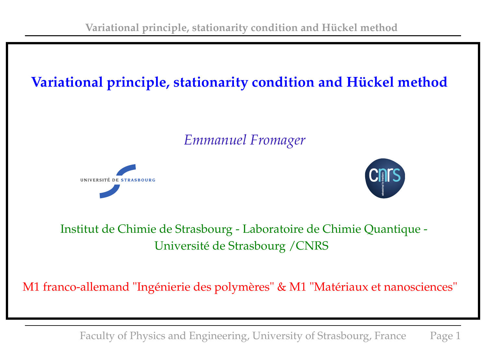# **Variational principle, stationarity condition and Hückel method**

*Emmanuel Fromager*





## Institut de Chimie de Strasbourg - Laboratoire de Chimie Quantique - Université de Strasbourg /CNRS

M1 franco-allemand "Ingénierie des polymères" & M1 "Matériaux et nanosciences"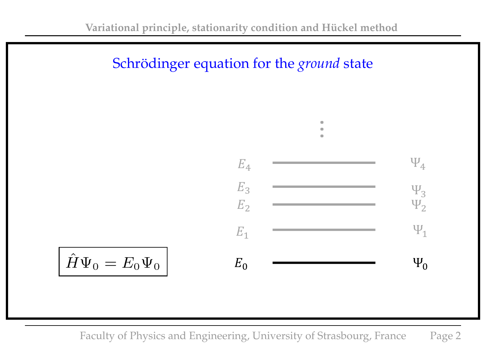



$$
\hat{H}\Psi_0=E_0\Psi_0
$$

where  $\frac{1}{\sqrt{2\pi}}$  ,  $\frac{1}{\sqrt{2\pi}}$  (xi, yi,  $\frac{1}{\sqrt{2\pi}}$  (xi, yi,  $\frac{1}{\sqrt{2\pi}}$  ),  $\frac{1}{\sqrt{2\pi}}$  (xi, yi,  $\frac{1}{\sqrt{2\pi}}$  ),  $\frac{1}{\sqrt{2\pi}}$  (xi, yi,  $\frac{1}{\sqrt{2\pi}}$  ),  $\frac{1}{\sqrt{2\pi}}$  (xi, yi, yi, yi, yi, yi, yi, yi, <sup>2</sup> ) for i = 1, 2,...,N, Faculty of Physics and Engineering, University of Strasbourg, France Page 2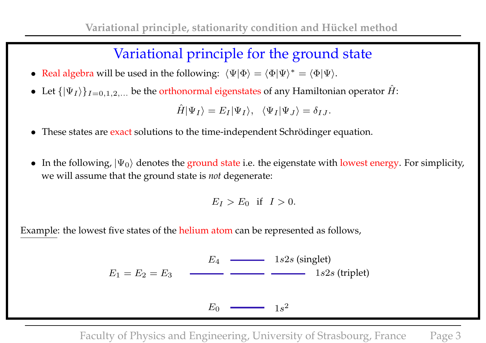## Variational principle for the ground state

- Real algebra will be used in the following:  $\langle \Psi | \Phi \rangle = \langle \Phi | \Psi \rangle^* = \langle \Phi | \Psi \rangle$ .
- Let  $\{|\Psi_I\rangle\}_{I=0,1,2,...}$  be the orthonormal eigenstates of any Hamiltonian operator  $\hat{H}$ :

$$
\hat{H}|\Psi_I\rangle = E_I|\Psi_I\rangle, \quad \langle \Psi_I|\Psi_J\rangle = \delta_{IJ}.
$$

- These states are exact solutions to the time-independent Schrödinger equation.
- In the following,  $|\Psi_0\rangle$  denotes the ground state i.e. the eigenstate with lowest energy. For simplicity, we will assume that the ground state is *not* degenerate:

$$
E_I > E_0 \quad \text{if} \quad I > 0.
$$

Example: the lowest five states of the helium atom can be represented as follows,

$$
E_1 = E_2 = E_3 \qquad \qquad \underbrace{E_4 \qquad \qquad \qquad 1s2s \text{ (singlet)}}_{1s2s \text{ (triplet)}}
$$

 $E_0$  $1s^2$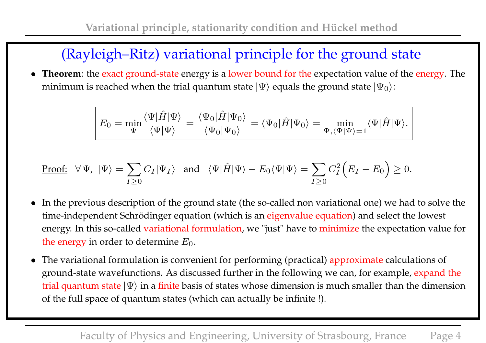# (Rayleigh–Ritz) variational principle for the ground state

• **Theorem**: the exact ground-state energy is a lower bound for the expectation value of the energy. The minimum is reached when the trial quantum state  $|\Psi\rangle$  equals the ground state  $|\Psi_0\rangle$ :

$$
E_0 = \min_{\Psi} \frac{\langle \Psi | \hat{H} | \Psi \rangle}{\langle \Psi | \Psi \rangle} = \frac{\langle \Psi_0 | \hat{H} | \Psi_0 \rangle}{\langle \Psi_0 | \Psi_0 \rangle} = \langle \Psi_0 | \hat{H} | \Psi_0 \rangle = \min_{\Psi, \langle \Psi | \Psi \rangle = 1} \langle \Psi | \hat{H} | \Psi \rangle.
$$

Proof: 
$$
\forall \Psi, |\Psi\rangle = \sum_{I \geq 0} C_I |\Psi_I\rangle
$$
 and  $\langle \Psi | \hat{H} | \Psi \rangle - E_0 \langle \Psi | \Psi \rangle = \sum_{I \geq 0} C_I^2 (E_I - E_0) \geq 0$ .

- In the previous description of the ground state (the so-called non variational one) we had to solve the time-independent Schrödinger equation (which is an eigenvalue equation) and select the lowest energy. In this so-called variational formulation, we "just" have to minimize the expectation value for the energy in order to determine  $E_0$ .
- The variational formulation is convenient for performing (practical) approximate calculations of ground-state wavefunctions. As discussed further in the following we can, for example, expand the trial quantum state  $|\Psi\rangle$  in a finite basis of states whose dimension is much smaller than the dimension of the full space of quantum states (which can actually be infinite !).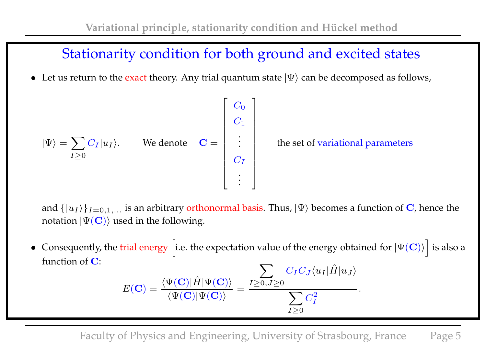## Stationarity condition for both ground and excited states

• Let us return to the exact theory. Any trial quantum state  $|\Psi\rangle$  can be decomposed as follows,

$$
|\Psi\rangle = \sum_{I \geq 0} C_I |u_I\rangle.
$$
 We denote  $\mathbf{C} = \begin{bmatrix} C_0 \\ C_1 \\ \vdots \\ C_I \\ \vdots \end{bmatrix}$  the set of variational parameters

and  $\{|u_I\rangle\}_{I=0,1,...}$  is an arbitrary orthonormal basis. Thus,  $|\Psi\rangle$  becomes a function of  ${\bf C}$ , hence the notation  $|\Psi(\mathbf{C})\rangle$  used in the following.

• Consequently, the trial energy [i.e. the expectation value of the energy obtained for  $|\Psi(\mathbf{C})\rangle$  $\overline{\phantom{a}}$ is also a function of C:  $\sum$  $C_1 C_1$   $\hat{I}$   $\hat{I}$ 

$$
E(\mathbf{C}) = \frac{\langle \Psi(\mathbf{C}) | \hat{H} | \Psi(\mathbf{C}) \rangle}{\langle \Psi(\mathbf{C}) | \Psi(\mathbf{C}) \rangle} = \frac{\sum_{I \geq 0, J \geq 0} C_I C_J \langle u_I | H | u_J \rangle}{\sum_{I \geq 0} C_I^2}.
$$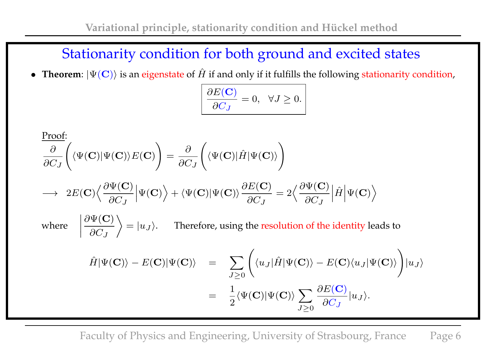## Stationarity condition for both ground and excited states

• **Theorem**:  $|\Psi(\mathbf{C})\rangle$  is an eigenstate of  $\hat{H}$  if and only if it fulfills the following stationarity condition,

$$
\frac{\partial E(\mathbf{C})}{\partial C_J} = 0, \quad \forall J \ge 0.
$$

Proof:  
\n
$$
\frac{\partial}{\partial C_J} \left( \langle \Psi(\mathbf{C}) | \Psi(\mathbf{C}) \rangle E(\mathbf{C}) \right) = \frac{\partial}{\partial C_J} \left( \langle \Psi(\mathbf{C}) | \hat{H} | \Psi(\mathbf{C}) \rangle \right)
$$
\n
$$
\longrightarrow 2E(\mathbf{C}) \left\langle \frac{\partial \Psi(\mathbf{C})}{\partial C_J} \middle| \Psi(\mathbf{C}) \right\rangle + \langle \Psi(\mathbf{C}) | \Psi(\mathbf{C}) \rangle \frac{\partial E(\mathbf{C})}{\partial C_J} = 2 \left\langle \frac{\partial \Psi(\mathbf{C})}{\partial C_J} \middle| \hat{H} \middle| \Psi(\mathbf{C}) \right\rangle
$$
\nwhere\n
$$
\left| \frac{\partial \Psi(\mathbf{C})}{\partial C_J} \right\rangle = |u_J\rangle.
$$
\nTherefore, using the resolution of the identity leads to\n
$$
\hat{H} | \Psi(\mathbf{C}) \rangle - E(\mathbf{C}) | \Psi(\mathbf{C}) \rangle = \sum_{J \ge 0} \left( \langle u_J | \hat{H} | \Psi(\mathbf{C}) \rangle - E(\mathbf{C}) \langle u_J | \Psi(\mathbf{C}) \rangle \right) |u_J\rangle
$$
\n
$$
= \frac{1}{2} \langle \Psi(\mathbf{C}) | \Psi(\mathbf{C}) \rangle \sum_{J \ge 0} \frac{\partial E(\mathbf{C})}{\partial C_J} |u_J\rangle.
$$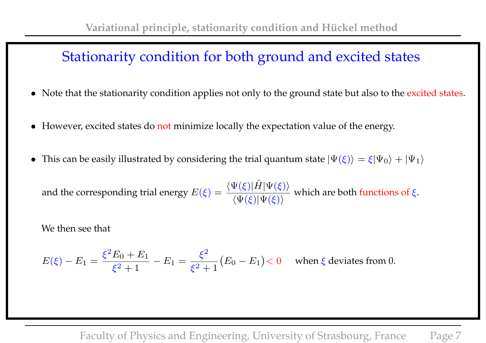## Stationarity condition for both ground and excited states

- Note that the stationarity condition applies not only to the ground state but also to the excited states.
- However, excited states do not minimize locally the expectation value of the energy.
- This can be easily illustrated by considering the trial quantum state  $|\Psi(\xi)\rangle = \xi|\Psi_0\rangle + |\Psi_1\rangle$

and the corresponding trial energy  $E(\xi) = \frac{\langle \Psi(\xi)|\hat{H}|\Psi(\xi)\rangle}{\langle\Psi(\xi)|\Psi(\xi)\rangle}$  $\langle \Psi(\xi)|\Psi(\xi)\rangle$ which are both functions of  $\xi.$ 

We then see that

$$
E(\xi) - E_1 = \frac{\xi^2 E_0 + E_1}{\xi^2 + 1} - E_1 = \frac{\xi^2}{\xi^2 + 1} (E_0 - E_1) < 0 \quad \text{when } \xi \text{ deviates from 0.}
$$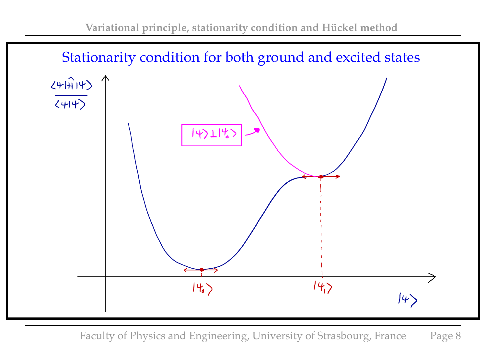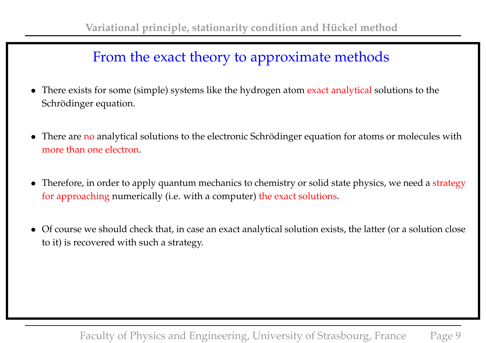## From the exact theory to approximate methods

- There exists for some (simple) systems like the hydrogen atom exact analytical solutions to the Schrödinger equation.
- There are no analytical solutions to the electronic Schrödinger equation for atoms or molecules with more than one electron.
- Therefore, in order to apply quantum mechanics to chemistry or solid state physics, we need a strategy for approaching numerically (i.e. with a computer) the exact solutions.
- Of course we should check that, in case an exact analytical solution exists, the latter (or a solution close to it) is recovered with such a strategy.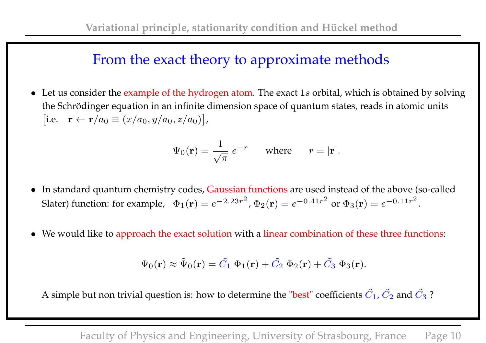## From the exact theory to approximate methods

• Let us consider the example of the hydrogen atom. The exact  $1s$  orbital, which is obtained by solving the Schrödinger equation in an infinite dimension space of quantum states, reads in atomic units [i.e.  $\mathbf{r} \leftarrow \mathbf{r}/a_0 \equiv (x/a_0, y/a_0, z/a_0)$ ],

$$
\Psi_0(\mathbf{r}) = \frac{1}{\sqrt{\pi}} e^{-r} \quad \text{where} \quad r = |\mathbf{r}|.
$$

- In standard quantum chemistry codes, Gaussian functions are used instead of the above (so-called Slater) function: for example,  $\Phi_1({\bf r}) = e^{-2.23r^2}$ ,  $\Phi_2({\bf r}) = e^{-0.41r^2}$  or  $\Phi_3({\bf r}) = e^{-0.11r^2}$ .
- We would like to approach the exact solution with a linear combination of these three functions:

$$
\Psi_0(\mathbf{r}) \approx \tilde{\Psi}_0(\mathbf{r}) = \tilde{C}_1 \ \Phi_1(\mathbf{r}) + \tilde{C}_2 \ \Phi_2(\mathbf{r}) + \tilde{C}_3 \ \Phi_3(\mathbf{r}).
$$

A simple but non trivial question is: how to determine the "best" coefficients  $\tilde{C_1}$  ,  $\tilde{C_2}$  and  $\tilde{C_3}$  ?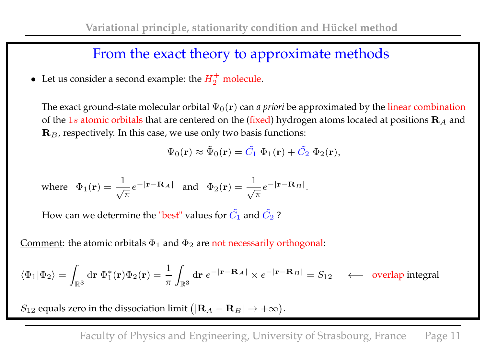## From the exact theory to approximate methods

• Let us consider a second example: the  $H_2^+$  $\frac{1}{2}$  molecule.

The exact ground-state molecular orbital  $\Psi_0(\mathbf{r})$  can *a priori* be approximated by the linear combination of the 1s atomic orbitals that are centered on the (fixed) hydrogen atoms located at positions  $\mathbf{R}_A$  and  $\mathbf{R}_B$ , respectively. In this case, we use only two basis functions:

$$
\Psi_0(\mathbf{r}) \approx \tilde{\Psi}_0(\mathbf{r}) = \tilde{C}_1 \ \Phi_1(\mathbf{r}) + \tilde{C}_2 \ \Phi_2(\mathbf{r}),
$$

where 
$$
\Phi_1(\mathbf{r}) = \frac{1}{\sqrt{\pi}} e^{-|\mathbf{r} - \mathbf{R}_A|}
$$
 and  $\Phi_2(\mathbf{r}) = \frac{1}{\sqrt{\pi}} e^{-|\mathbf{r} - \mathbf{R}_B|}$ .

How can we determine the "best" values for  $\tilde{C_1}$  and  $\tilde{C_2}$  ?

Comment: the atomic orbitals  $\Phi_1$  and  $\Phi_2$  are not necessarily orthogonal:

$$
\langle \Phi_1|\Phi_2\rangle = \int_{\mathbb{R}^3} \mathrm{d}{\bf r}\; \Phi_1^*({\bf r})\Phi_2({\bf r}) = \frac{1}{\pi}\int_{\mathbb{R}^3} \mathrm{d}{\bf r}\; e^{-|{\bf r}-{\bf R}_A|}\times e^{-|{\bf r}-{\bf R}_B|} = S_{12} \quad \longleftarrow \quad \text{overlap integral}
$$

 $S_{12}$  equals zero in the dissociation limit  $\big(|{\bf R}_A-{\bf R}_B|\to +\infty\big).$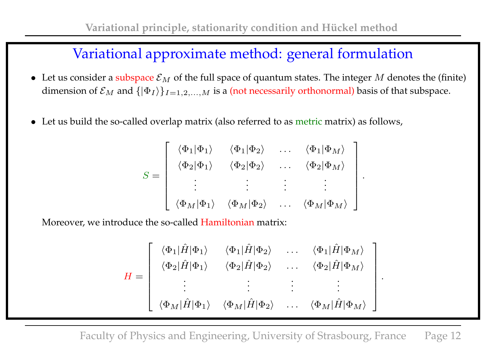## Variational approximate method: general formulation

- Let us consider a subspace  $\mathcal{E}_M$  of the full space of quantum states. The integer M denotes the (finite) dimension of  $\mathcal{E}_M$  and  $\{|\Phi_I\rangle\}_{I=1,2,...,M}$  is a (not necessarily orthonormal) basis of that subspace.
- Let us build the so-called overlap matrix (also referred to as metric matrix) as follows,

$$
S = \begin{bmatrix} \langle \Phi_1 | \Phi_1 \rangle & \langle \Phi_1 | \Phi_2 \rangle & \dots & \langle \Phi_1 | \Phi_M \rangle \\ \langle \Phi_2 | \Phi_1 \rangle & \langle \Phi_2 | \Phi_2 \rangle & \dots & \langle \Phi_2 | \Phi_M \rangle \\ \vdots & \vdots & \vdots & \vdots \\ \langle \Phi_M | \Phi_1 \rangle & \langle \Phi_M | \Phi_2 \rangle & \dots & \langle \Phi_M | \Phi_M \rangle \end{bmatrix}
$$

.

.

Moreover, we introduce the so-called Hamiltonian matrix:

$$
H = \begin{bmatrix} \langle \Phi_1 | \hat{H} | \Phi_1 \rangle & \langle \Phi_1 | \hat{H} | \Phi_2 \rangle & \dots & \langle \Phi_1 | \hat{H} | \Phi_M \rangle \\ \langle \Phi_2 | \hat{H} | \Phi_1 \rangle & \langle \Phi_2 | \hat{H} | \Phi_2 \rangle & \dots & \langle \Phi_2 | \hat{H} | \Phi_M \rangle \\ \vdots & \vdots & \vdots & \vdots \\ \langle \Phi_M | \hat{H} | \Phi_1 \rangle & \langle \Phi_M | \hat{H} | \Phi_2 \rangle & \dots & \langle \Phi_M | \hat{H} | \Phi_M \rangle \end{bmatrix}
$$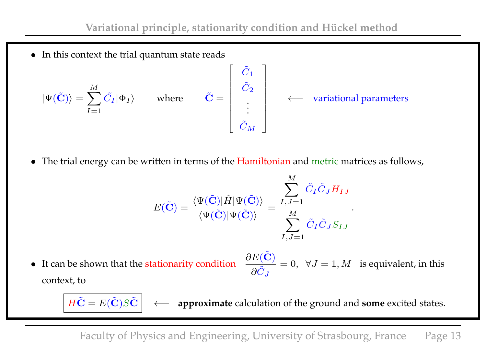• In this context the trial quantum state reads

$$
|\Psi(\tilde{\mathbf{C}})\rangle = \sum_{I=1}^{M} \tilde{C}_{I} |\Phi_{I}\rangle \quad \text{where} \quad \tilde{\mathbf{C}} = \begin{bmatrix} \tilde{C}_{1} \\ \tilde{C}_{2} \\ \vdots \\ \tilde{C}_{M} \end{bmatrix} \leftarrow \text{variational parameters}
$$

• The trial energy can be written in terms of the Hamiltonian and metric matrices as follows,

$$
E(\tilde{\mathbf{C}}) = \frac{\langle \Psi(\tilde{\mathbf{C}}) | \hat{H} | \Psi(\tilde{\mathbf{C}}) \rangle}{\langle \Psi(\tilde{\mathbf{C}}) | \Psi(\tilde{\mathbf{C}}) \rangle} = \frac{\sum_{I,J=1}^{M} \tilde{C}_{I} \tilde{C}_{J} H_{IJ}}{\sum_{I,J=1}^{M} \tilde{C}_{I} \tilde{C}_{J} S_{IJ}}.
$$

• It can be shown that the stationarity condition  $\partial \tilde{C}_J$  $= 0, \forall J = 1, M$  is equivalent, in this context, to

 $H\tilde{\mathbf{C}} = E(\tilde{\mathbf{C}})S\tilde{\mathbf{C}}$   $\leftarrow$  **approximate** calculation of the ground and **some** excited states.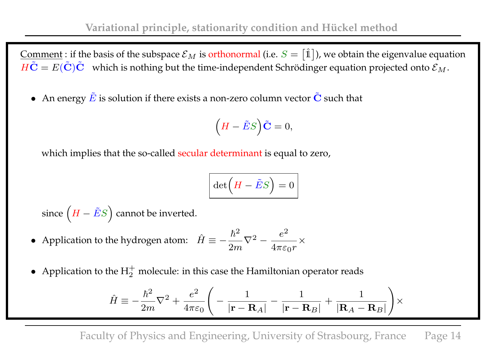Comment : if the basis of the subspace  $\mathcal{E}_M$  is orthonormal (i.e.  $S = [\hat{\mathbb{1}}]$ ), we obtain the eigenvalue equation  $H\tilde{\mathbf{C}} = E(\tilde{\mathbf{C}})\tilde{\mathbf{C}}$  which is nothing but the time-independent Schrödinger equation projected onto  $\mathcal{E}_M$ .

• An energy  $\tilde{E}$  is solution if there exists a non-zero column vector  $\tilde{C}$  such that

$$
\left(H - \tilde{E}S\right)\tilde{\mathbf{C}} = 0,
$$

which implies that the so-called secular determinant is equal to zero,

$$
\det\left(H - \tilde{E}S\right) = 0
$$

since  $\left(H - \tilde{E}S\right)$  $\setminus$ cannot be inverted.

- Application to the hydrogen atom:  $\hat{H} \equiv \hbar^2$  $\frac{n}{2m}\nabla^2$  –  $e^2$  $\overline{4\pi \varepsilon_0 r}$   $\times$
- Application to the  $H_2^+$  molecule: in this case the Hamiltonian operator reads

$$
\hat{H} \equiv -\frac{\hbar^2}{2m}\nabla^2 + \frac{e^2}{4\pi\varepsilon_0}\Bigg(-\frac{1}{|\mathbf{r}-\mathbf{R}_A|}-\frac{1}{|\mathbf{r}-\mathbf{R}_B|}+\frac{1}{|\mathbf{R}_A-\mathbf{R}_B|}\Bigg)\times
$$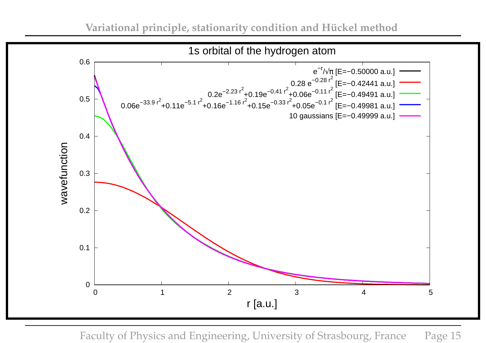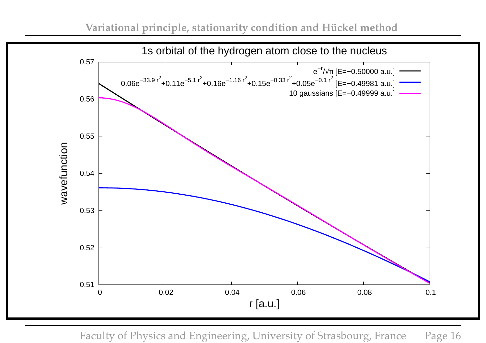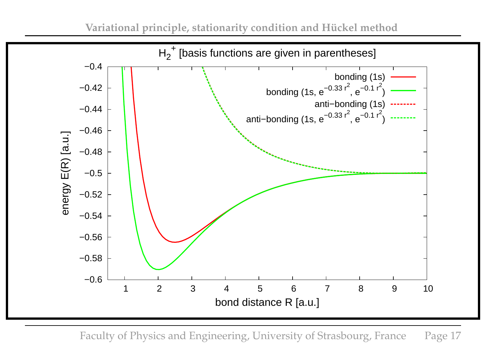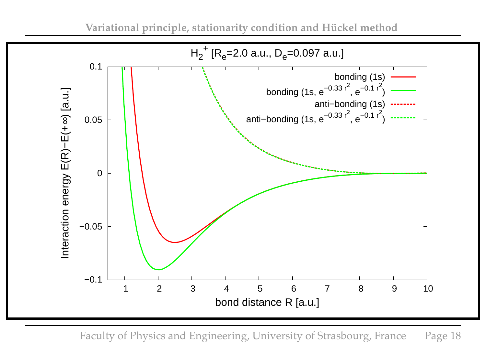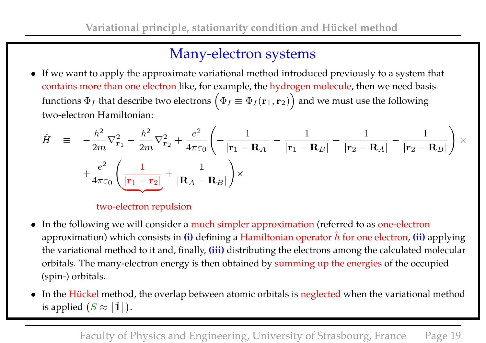## Many-electron systems

• If we want to apply the approximate variational method introduced previously to a system that contains more than one electron like, for example, the hydrogen molecule, then we need basis functions  $\Phi_I$  that describe two electrons  $\Big(\Phi_I\equiv\Phi_I(\mathbf{r}_1,\mathbf{r}_2)$  $\setminus$ and we must use the following two-electron Hamiltonian:

$$
\hat{H} = -\frac{\hbar^2}{2m}\nabla_{\mathbf{r}_1}^2 - \frac{\hbar^2}{2m}\nabla_{\mathbf{r}_2}^2 + \frac{e^2}{4\pi\varepsilon_0} \left( -\frac{1}{|\mathbf{r}_1 - \mathbf{R}_A|} - \frac{1}{|\mathbf{r}_1 - \mathbf{R}_B|} - \frac{1}{|\mathbf{r}_2 - \mathbf{R}_A|} - \frac{1}{|\mathbf{r}_2 - \mathbf{R}_B|} \right) \times
$$
\n
$$
+ \frac{e^2}{4\pi\varepsilon_0} \left( \frac{1}{|\mathbf{r}_1 - \mathbf{r}_2|} + \frac{1}{|\mathbf{R}_A - \mathbf{R}_B|} \right) \times
$$

#### two-electron repulsion

- In the following we will consider a much simpler approximation (referred to as one-electron approximation) which consists in  $(i)$  defining a Hamiltonian operator  $\hat{h}$  for one electron,  $(ii)$  applying the variational method to it and, finally, **(iii)** distributing the electrons among the calculated molecular orbitals. The many-electron energy is then obtained by summing up the energies of the occupied (spin-) orbitals.
- In the Hückel method, the overlap between atomic orbitals is neglected when the variational method is applied  $(S \approx [\hat{\mathbb{1}}]).$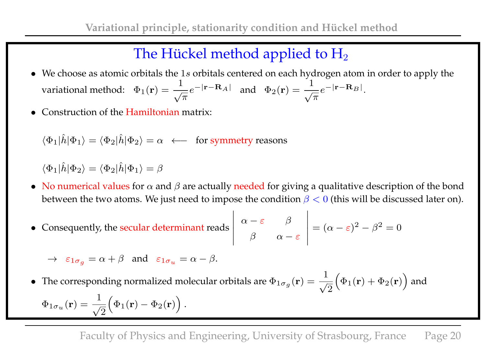# The Hückel method applied to  $H_2$

- We choose as atomic orbitals the 1s orbitals centered on each hydrogen atom in order to apply the variational method:  $\;\Phi_1({\bf r})=\frac{1}{\sqrt{\pi}}$  $e^{-|\mathbf{r}-\mathbf{R}_A|}$  and  $\Phi_2(\mathbf{r}) = \frac{1}{\sqrt{\pi}}$  $e^{-|\mathbf{r}-\mathbf{R}_B|}.$
- Construction of the Hamiltonian matrix:

$$
\langle \Phi_1 | \hat{h} | \Phi_1 \rangle = \langle \Phi_2 | \hat{h} | \Phi_2 \rangle = \alpha \longleftarrow
$$
 for symmetry reasons

 $\langle \Phi_1 | \hat{h} | \Phi_2 \rangle = \langle \Phi_2 | \hat{h} | \Phi_1 \rangle = \beta$ 

• No numerical values for  $\alpha$  and  $\beta$  are actually needed for giving a qualitative description of the bond between the two atoms. We just need to impose the condition  $\beta < 0$  (this will be discussed later on).

• Consequently, the secular determinant reads 
$$
\begin{vmatrix} \alpha - \varepsilon & \beta \\ \beta & \alpha - \varepsilon \end{vmatrix} = (\alpha - \varepsilon)^2 - \beta^2 = 0
$$

 $\rightarrow \varepsilon_{1\sigma_g} = \alpha + \beta$  and  $\varepsilon_{1\sigma_u} = \alpha - \beta$ .

• The corresponding normalized molecular orbitals are  $\Phi_{1\sigma_g}(\mathbf{r}) = \frac{1}{\sqrt{2\pi}}$ 2  $\sqrt{ }$  $\Phi_1({\bf r}) + \Phi_2({\bf r})$  $\setminus$ and  $\Phi_{1\sigma_{u}}(\mathbf{r})=\frac{1}{\sqrt{2}}% \mathbf{r}^{\prime\prime}\mathbf{u}$ 2  $\sqrt{ }$  $\Phi_1({\bf r}) - \Phi_2({\bf r})$  $\setminus$ .